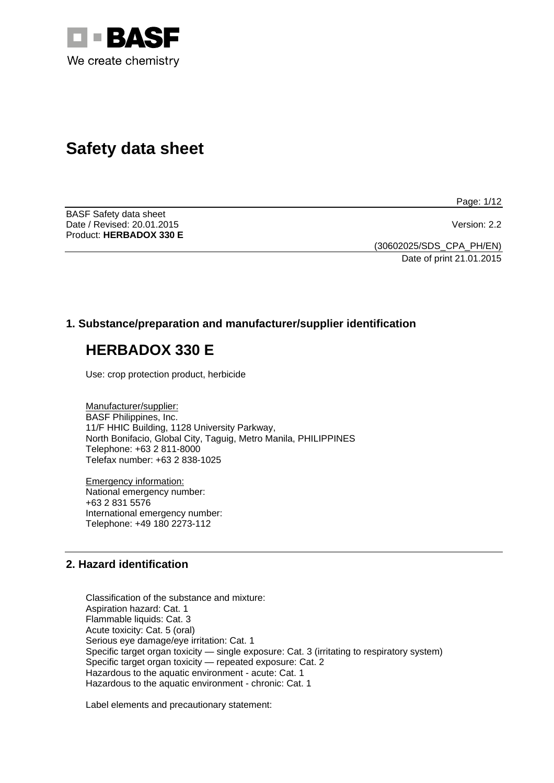

# **Safety data sheet**

Page: 1/12

BASF Safety data sheet Date / Revised: 20.01.2015 Version: 2.2 Product: **HERBADOX 330 E** 

(30602025/SDS\_CPA\_PH/EN) Date of print 21.01.2015

# **1. Substance/preparation and manufacturer/supplier identification**

# **HERBADOX 330 E**

Use: crop protection product, herbicide

Manufacturer/supplier: BASF Philippines, Inc. 11/F HHIC Building, 1128 University Parkway, North Bonifacio, Global City, Taguig, Metro Manila, PHILIPPINES Telephone: +63 2 811-8000 Telefax number: +63 2 838-1025

Emergency information: National emergency number: +63 2 831 5576 International emergency number: Telephone: +49 180 2273-112

# **2. Hazard identification**

Classification of the substance and mixture: Aspiration hazard: Cat. 1 Flammable liquids: Cat. 3 Acute toxicity: Cat. 5 (oral) Serious eye damage/eye irritation: Cat. 1 Specific target organ toxicity — single exposure: Cat. 3 (irritating to respiratory system) Specific target organ toxicity — repeated exposure: Cat. 2 Hazardous to the aquatic environment - acute: Cat. 1 Hazardous to the aquatic environment - chronic: Cat. 1

Label elements and precautionary statement: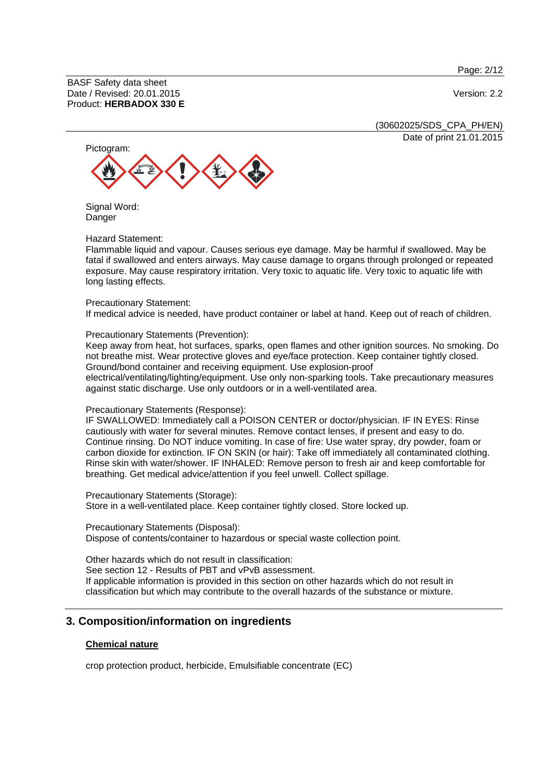Page: 2/12

BASF Safety data sheet Date / Revised: 20.01.2015 Version: 2.2 Product: **HERBADOX 330 E**

(30602025/SDS\_CPA\_PH/EN) Date of print 21.01.2015



Signal Word: **Danger** 

#### Hazard Statement:

Flammable liquid and vapour. Causes serious eye damage. May be harmful if swallowed. May be fatal if swallowed and enters airways. May cause damage to organs through prolonged or repeated exposure. May cause respiratory irritation. Very toxic to aquatic life. Very toxic to aquatic life with long lasting effects.

#### Precautionary Statement:

If medical advice is needed, have product container or label at hand. Keep out of reach of children.

#### Precautionary Statements (Prevention):

Keep away from heat, hot surfaces, sparks, open flames and other ignition sources. No smoking. Do not breathe mist. Wear protective gloves and eye/face protection. Keep container tightly closed. Ground/bond container and receiving equipment. Use explosion-proof electrical/ventilating/lighting/equipment. Use only non-sparking tools. Take precautionary measures against static discharge. Use only outdoors or in a well-ventilated area.

#### Precautionary Statements (Response):

IF SWALLOWED: Immediately call a POISON CENTER or doctor/physician. IF IN EYES: Rinse cautiously with water for several minutes. Remove contact lenses, if present and easy to do. Continue rinsing. Do NOT induce vomiting. In case of fire: Use water spray, dry powder, foam or carbon dioxide for extinction. IF ON SKIN (or hair): Take off immediately all contaminated clothing. Rinse skin with water/shower. IF INHALED: Remove person to fresh air and keep comfortable for breathing. Get medical advice/attention if you feel unwell. Collect spillage.

Precautionary Statements (Storage): Store in a well-ventilated place. Keep container tightly closed. Store locked up.

Precautionary Statements (Disposal): Dispose of contents/container to hazardous or special waste collection point.

Other hazards which do not result in classification: See section 12 - Results of PBT and vPvB assessment. If applicable information is provided in this section on other hazards which do not result in classification but which may contribute to the overall hazards of the substance or mixture.

#### **3. Composition/information on ingredients**

#### **Chemical nature**

crop protection product, herbicide, Emulsifiable concentrate (EC)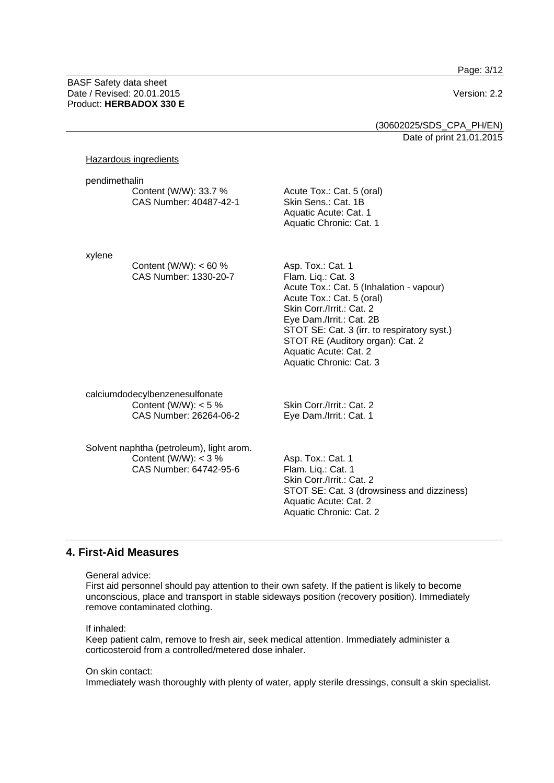Page: 3/12

BASF Safety data sheet Date / Revised: 20.01.2015 Version: 2.2 Product: **HERBADOX 330 E**

## (30602025/SDS\_CPA\_PH/EN) Date of print 21.01.2015

#### Hazardous ingredients

| pendimethalin | Content (W/W): 33.7 %<br>CAS Number: 40487-42-1 | Acute Tox.: Cat. 5 (oral)<br>Skin Sens.: Cat. 1B<br>Aquatic Acute: Cat. 1<br>Aquatic Chronic: Cat. 1 |  |
|---------------|-------------------------------------------------|------------------------------------------------------------------------------------------------------|--|
| xylene        | Content (W/W): $< 60 %$                         | Asp. Tox.: Cat. 1                                                                                    |  |

Flam. Liq.: Cat. 3 Acute Tox.: Cat. 5 (Inhalation - vapour) Acute Tox.: Cat. 5 (oral) Skin Corr./Irrit.: Cat. 2 Eye Dam./Irrit.: Cat. 2B STOT SE: Cat. 3 (irr. to respiratory syst.) STOT RE (Auditory organ): Cat. 2 Aquatic Acute: Cat. 2 Aquatic Chronic: Cat. 3

calciumdodecylbenzenesulfonate Content (W/W):  $< 5 \%$ CAS Number: 26264-06-2

CAS Number: 1330-20-7

Solvent naphtha (petroleum), light arom. Content (W/W):  $<$  3 % CAS Number: 64742-95-6

Skin Corr./Irrit.: Cat. 2 Eye Dam./Irrit.: Cat. 1

Asp. Tox.: Cat. 1 Flam. Liq.: Cat. 1 Skin Corr./Irrit.: Cat. 2 STOT SE: Cat. 3 (drowsiness and dizziness) Aquatic Acute: Cat. 2 Aquatic Chronic: Cat. 2

#### **4. First-Aid Measures**

General advice:

First aid personnel should pay attention to their own safety. If the patient is likely to become unconscious, place and transport in stable sideways position (recovery position). Immediately remove contaminated clothing.

If inhaled:

Keep patient calm, remove to fresh air, seek medical attention. Immediately administer a corticosteroid from a controlled/metered dose inhaler.

On skin contact:

Immediately wash thoroughly with plenty of water, apply sterile dressings, consult a skin specialist.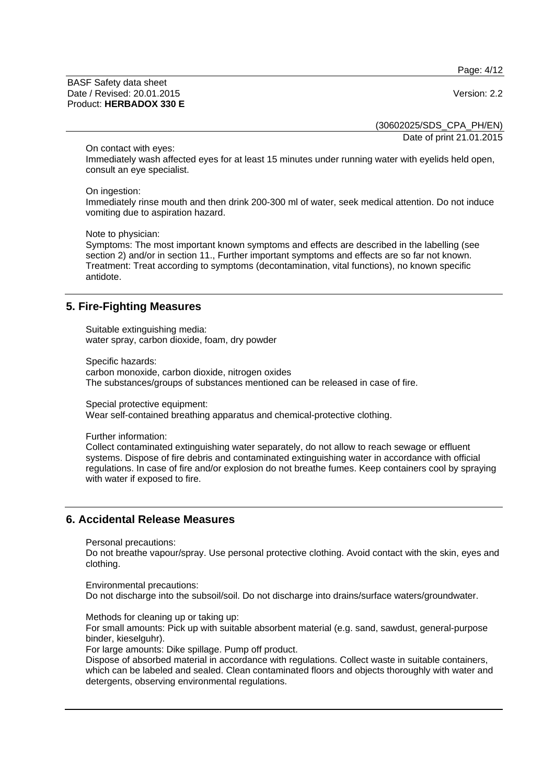Page: 4/12

BASF Safety data sheet Date / Revised: 20.01.2015 Version: 2.2 Product: **HERBADOX 330 E**

(30602025/SDS\_CPA\_PH/EN) Date of print 21.01.2015

On contact with eyes:

Immediately wash affected eyes for at least 15 minutes under running water with eyelids held open, consult an eye specialist.

On ingestion:

Immediately rinse mouth and then drink 200-300 ml of water, seek medical attention. Do not induce vomiting due to aspiration hazard.

Note to physician:

Symptoms: The most important known symptoms and effects are described in the labelling (see section 2) and/or in section 11., Further important symptoms and effects are so far not known. Treatment: Treat according to symptoms (decontamination, vital functions), no known specific antidote.

### **5. Fire-Fighting Measures**

Suitable extinguishing media: water spray, carbon dioxide, foam, dry powder

Specific hazards: carbon monoxide, carbon dioxide, nitrogen oxides The substances/groups of substances mentioned can be released in case of fire.

Special protective equipment:

Wear self-contained breathing apparatus and chemical-protective clothing.

Further information:

Collect contaminated extinguishing water separately, do not allow to reach sewage or effluent systems. Dispose of fire debris and contaminated extinguishing water in accordance with official regulations. In case of fire and/or explosion do not breathe fumes. Keep containers cool by spraying with water if exposed to fire.

#### **6. Accidental Release Measures**

Personal precautions:

Do not breathe vapour/spray. Use personal protective clothing. Avoid contact with the skin, eyes and clothing.

Environmental precautions: Do not discharge into the subsoil/soil. Do not discharge into drains/surface waters/groundwater.

Methods for cleaning up or taking up:

For small amounts: Pick up with suitable absorbent material (e.g. sand, sawdust, general-purpose binder, kieselguhr).

For large amounts: Dike spillage. Pump off product.

Dispose of absorbed material in accordance with regulations. Collect waste in suitable containers, which can be labeled and sealed. Clean contaminated floors and objects thoroughly with water and detergents, observing environmental regulations.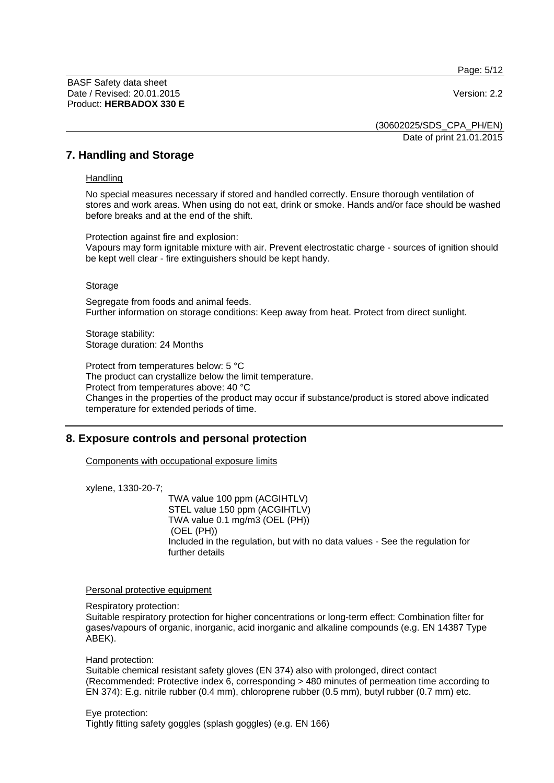Page: 5/12

BASF Safety data sheet Date / Revised: 20.01.2015 Version: 2.2 Product: **HERBADOX 330 E**

(30602025/SDS\_CPA\_PH/EN) Date of print 21.01.2015

### **7. Handling and Storage**

#### **Handling**

No special measures necessary if stored and handled correctly. Ensure thorough ventilation of stores and work areas. When using do not eat, drink or smoke. Hands and/or face should be washed before breaks and at the end of the shift.

Protection against fire and explosion: Vapours may form ignitable mixture with air. Prevent electrostatic charge - sources of ignition should be kept well clear - fire extinguishers should be kept handy.

#### Storage

Segregate from foods and animal feeds. Further information on storage conditions: Keep away from heat. Protect from direct sunlight.

Storage stability: Storage duration: 24 Months

Protect from temperatures below: 5 °C The product can crystallize below the limit temperature. Protect from temperatures above: 40 °C Changes in the properties of the product may occur if substance/product is stored above indicated temperature for extended periods of time.

# **8. Exposure controls and personal protection**

Components with occupational exposure limits

xylene, 1330-20-7;

 TWA value 100 ppm (ACGIHTLV) STEL value 150 ppm (ACGIHTLV) TWA value 0.1 mg/m3 (OEL (PH)) (OEL (PH)) Included in the regulation, but with no data values - See the regulation for further details

#### Personal protective equipment

Respiratory protection:

Suitable respiratory protection for higher concentrations or long-term effect: Combination filter for gases/vapours of organic, inorganic, acid inorganic and alkaline compounds (e.g. EN 14387 Type ABEK).

Hand protection:

Suitable chemical resistant safety gloves (EN 374) also with prolonged, direct contact (Recommended: Protective index 6, corresponding > 480 minutes of permeation time according to EN 374): E.g. nitrile rubber (0.4 mm), chloroprene rubber (0.5 mm), butyl rubber (0.7 mm) etc.

Eye protection: Tightly fitting safety goggles (splash goggles) (e.g. EN 166)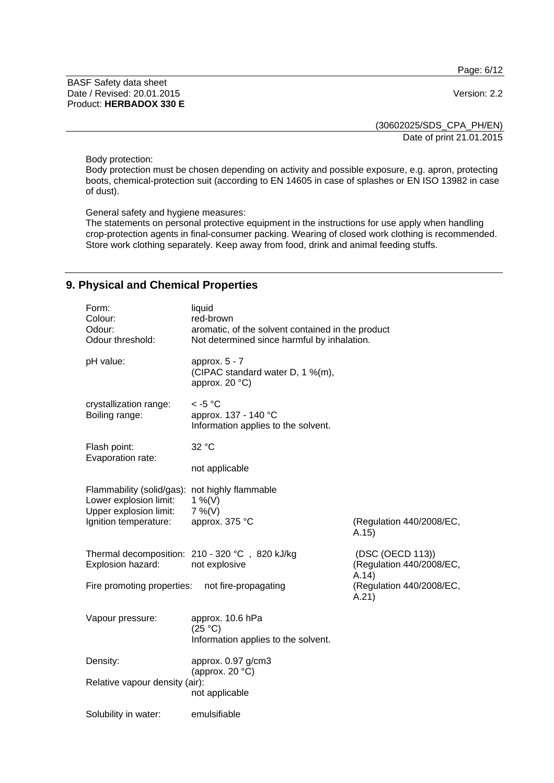Page: 6/12

BASF Safety data sheet Date / Revised: 20.01.2015 Version: 2.2 Product: **HERBADOX 330 E**

(30602025/SDS\_CPA\_PH/EN) Date of print 21.01.2015

Body protection:

Body protection must be chosen depending on activity and possible exposure, e.g. apron, protecting boots, chemical-protection suit (according to EN 14605 in case of splashes or EN ISO 13982 in case of dust).

General safety and hygiene measures:

The statements on personal protective equipment in the instructions for use apply when handling crop-protection agents in final-consumer packing. Wearing of closed work clothing is recommended. Store work clothing separately. Keep away from food, drink and animal feeding stuffs.

# **9. Physical and Chemical Properties**

| Form:<br>Colour:<br>Odour:<br>Odour threshold:                                                                              | liquid<br>red-brown<br>aromatic, of the solvent contained in the product<br>Not determined since harmful by inhalation. |                                                       |  |
|-----------------------------------------------------------------------------------------------------------------------------|-------------------------------------------------------------------------------------------------------------------------|-------------------------------------------------------|--|
| pH value:                                                                                                                   | approx. $5 - 7$<br>(CIPAC standard water D, 1 %(m),<br>approx. 20 °C)                                                   |                                                       |  |
| crystallization range:<br>Boiling range:                                                                                    | $<$ -5 °C<br>approx. 137 - 140 °C<br>Information applies to the solvent.                                                |                                                       |  |
| Flash point:                                                                                                                | 32 °C                                                                                                                   |                                                       |  |
| Evaporation rate:                                                                                                           | not applicable                                                                                                          |                                                       |  |
| Flammability (solid/gas): not highly flammable<br>Lower explosion limit:<br>Upper explosion limit:<br>Ignition temperature: | 1 %(V)<br>$7\%$ (V)<br>approx. 375 °C                                                                                   | (Regulation 440/2008/EC,<br>A.15)                     |  |
| Explosion hazard:                                                                                                           | Thermal decomposition: 210 - 320 °C, 820 kJ/kg<br>not explosive                                                         | (DSC (OECD 113))<br>(Regulation 440/2008/EC,<br>A.14) |  |
| Fire promoting properties:                                                                                                  | not fire-propagating                                                                                                    | (Regulation 440/2008/EC,<br>A.21)                     |  |
| Vapour pressure:                                                                                                            | approx. 10.6 hPa<br>(25 °C)<br>Information applies to the solvent.                                                      |                                                       |  |
| Density:                                                                                                                    | approx. 0.97 g/cm3<br>(approx. 20 $°C$ )                                                                                |                                                       |  |
| Relative vapour density (air):                                                                                              | not applicable                                                                                                          |                                                       |  |
| Solubility in water:                                                                                                        | emulsifiable                                                                                                            |                                                       |  |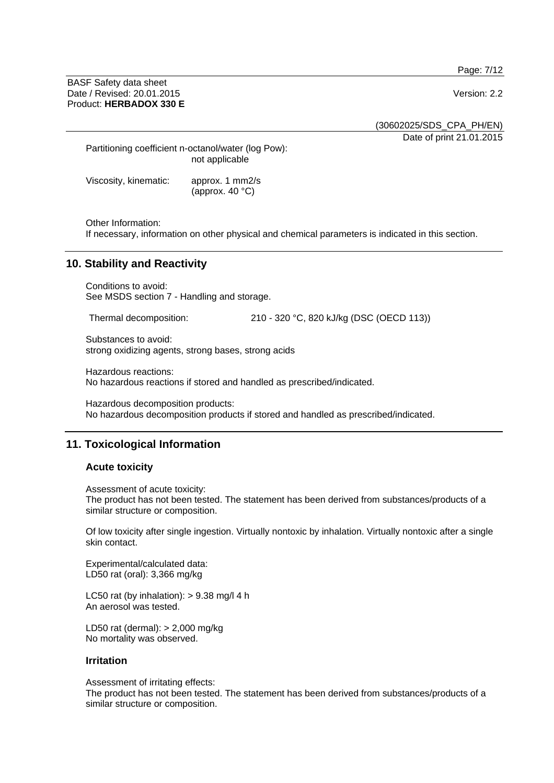Page: 7/12

BASF Safety data sheet Date / Revised: 20.01.2015 Version: 2.2 Product: **HERBADOX 330 E**

(30602025/SDS\_CPA\_PH/EN)

Date of print 21.01.2015

Partitioning coefficient n-octanol/water (log Pow): not applicable

Viscosity, kinematic: approx. 1 mm2/s (approx. 40 °C)

Other Information:

If necessary, information on other physical and chemical parameters is indicated in this section.

# **10. Stability and Reactivity**

Conditions to avoid: See MSDS section 7 - Handling and storage.

Thermal decomposition: 210 - 320 °C, 820 kJ/kg (DSC (OECD 113))

Substances to avoid: strong oxidizing agents, strong bases, strong acids

Hazardous reactions: No hazardous reactions if stored and handled as prescribed/indicated.

Hazardous decomposition products: No hazardous decomposition products if stored and handled as prescribed/indicated.

# **11. Toxicological Information**

#### **Acute toxicity**

Assessment of acute toxicity: The product has not been tested. The statement has been derived from substances/products of a similar structure or composition.

Of low toxicity after single ingestion. Virtually nontoxic by inhalation. Virtually nontoxic after a single skin contact.

Experimental/calculated data: LD50 rat (oral): 3,366 mg/kg

LC50 rat (by inhalation):  $> 9.38$  mg/l 4 h An aerosol was tested.

LD50 rat (dermal): > 2,000 mg/kg No mortality was observed.

#### **Irritation**

Assessment of irritating effects:

The product has not been tested. The statement has been derived from substances/products of a similar structure or composition.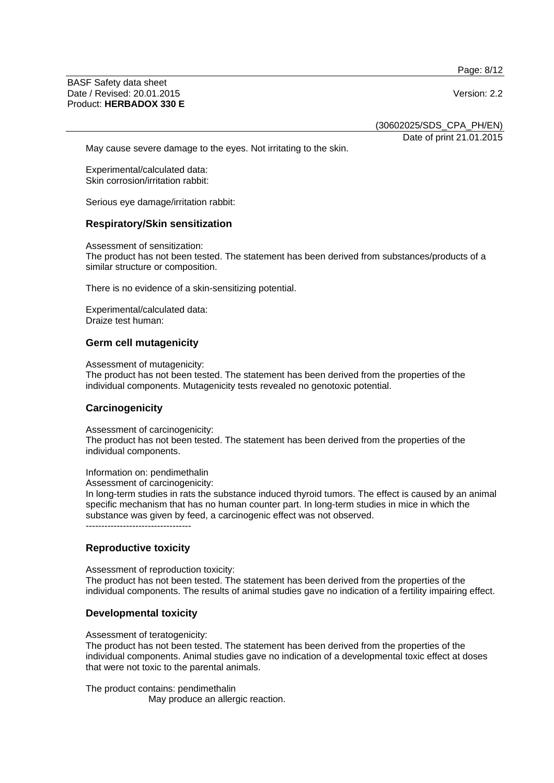Page: 8/12

BASF Safety data sheet Date / Revised: 20.01.2015 Version: 2.2 Product: **HERBADOX 330 E**

(30602025/SDS\_CPA\_PH/EN)

Date of print 21.01.2015

May cause severe damage to the eyes. Not irritating to the skin.

Experimental/calculated data: Skin corrosion/irritation rabbit:

Serious eye damage/irritation rabbit:

#### **Respiratory/Skin sensitization**

Assessment of sensitization: The product has not been tested. The statement has been derived from substances/products of a similar structure or composition.

There is no evidence of a skin-sensitizing potential.

Experimental/calculated data: Draize test human:

#### **Germ cell mutagenicity**

Assessment of mutagenicity:

The product has not been tested. The statement has been derived from the properties of the individual components. Mutagenicity tests revealed no genotoxic potential.

#### **Carcinogenicity**

Assessment of carcinogenicity:

The product has not been tested. The statement has been derived from the properties of the individual components.

Information on: pendimethalin

Assessment of carcinogenicity:

In long-term studies in rats the substance induced thyroid tumors. The effect is caused by an animal specific mechanism that has no human counter part. In long-term studies in mice in which the substance was given by feed, a carcinogenic effect was not observed. ----------------------------------

**Reproductive toxicity** 

Assessment of reproduction toxicity: The product has not been tested. The statement has been derived from the properties of the individual components. The results of animal studies gave no indication of a fertility impairing effect.

#### **Developmental toxicity**

Assessment of teratogenicity:

The product has not been tested. The statement has been derived from the properties of the individual components. Animal studies gave no indication of a developmental toxic effect at doses that were not toxic to the parental animals.

The product contains: pendimethalin May produce an allergic reaction.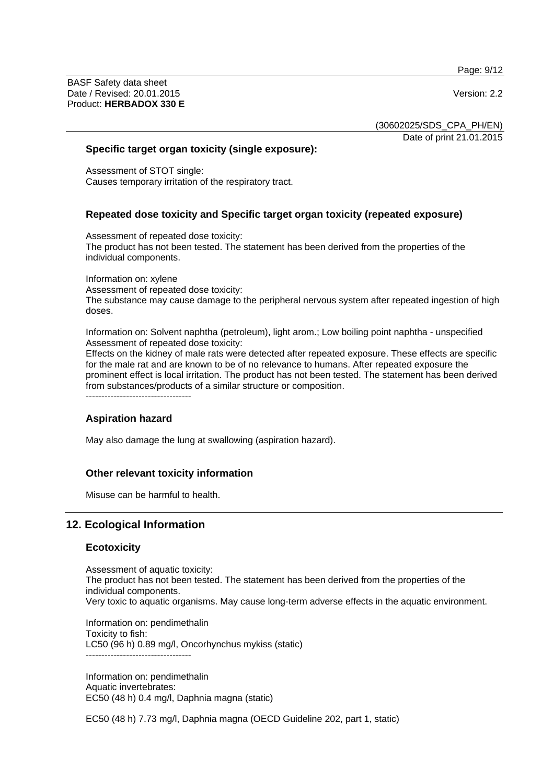Page: 9/12

BASF Safety data sheet Date / Revised: 20.01.2015 Version: 2.2 Product: **HERBADOX 330 E**

(30602025/SDS\_CPA\_PH/EN)

Date of print 21.01.2015

#### **Specific target organ toxicity (single exposure):**

Assessment of STOT single: Causes temporary irritation of the respiratory tract.

# **Repeated dose toxicity and Specific target organ toxicity (repeated exposure)**

Assessment of repeated dose toxicity: The product has not been tested. The statement has been derived from the properties of the individual components.

Information on: xylene Assessment of repeated dose toxicity: The substance may cause damage to the peripheral nervous system after repeated ingestion of high doses.

Information on: Solvent naphtha (petroleum), light arom.; Low boiling point naphtha - unspecified Assessment of repeated dose toxicity:

Effects on the kidney of male rats were detected after repeated exposure. These effects are specific for the male rat and are known to be of no relevance to humans. After repeated exposure the prominent effect is local irritation. The product has not been tested. The statement has been derived from substances/products of a similar structure or composition.  $-$ 

#### **Aspiration hazard**

May also damage the lung at swallowing (aspiration hazard).

#### **Other relevant toxicity information**

Misuse can be harmful to health.

# **12. Ecological Information**

#### **Ecotoxicity**

Assessment of aquatic toxicity: The product has not been tested. The statement has been derived from the properties of the individual components. Very toxic to aquatic organisms. May cause long-term adverse effects in the aquatic environment.

Information on: pendimethalin Toxicity to fish: LC50 (96 h) 0.89 mg/l, Oncorhynchus mykiss (static) ----------------------------------

Information on: pendimethalin Aquatic invertebrates: EC50 (48 h) 0.4 mg/l, Daphnia magna (static)

EC50 (48 h) 7.73 mg/l, Daphnia magna (OECD Guideline 202, part 1, static)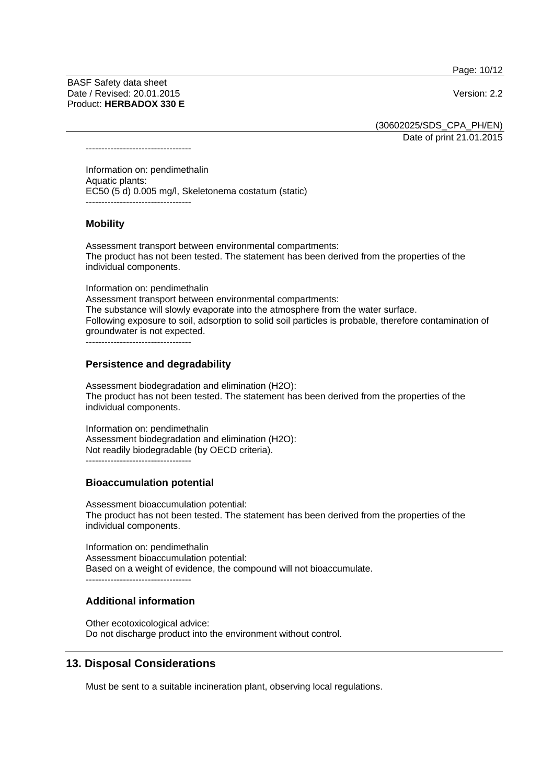Page: 10/12

BASF Safety data sheet Date / Revised: 20.01.2015 Version: 2.2 Product: **HERBADOX 330 E**

(30602025/SDS\_CPA\_PH/EN)

Date of print 21.01.2015

----------------------------------

Information on: pendimethalin Aquatic plants: EC50 (5 d) 0.005 mg/l, Skeletonema costatum (static) ----------------------------------

### **Mobility**

Assessment transport between environmental compartments: The product has not been tested. The statement has been derived from the properties of the individual components.

Information on: pendimethalin Assessment transport between environmental compartments: The substance will slowly evaporate into the atmosphere from the water surface. Following exposure to soil, adsorption to solid soil particles is probable, therefore contamination of groundwater is not expected. ----------------------------------

### **Persistence and degradability**

Assessment biodegradation and elimination (H2O): The product has not been tested. The statement has been derived from the properties of the individual components.

Information on: pendimethalin Assessment biodegradation and elimination (H2O): Not readily biodegradable (by OECD criteria). ----------------------------------

# **Bioaccumulation potential**

Assessment bioaccumulation potential: The product has not been tested. The statement has been derived from the properties of the individual components.

Information on: pendimethalin Assessment bioaccumulation potential: Based on a weight of evidence, the compound will not bioaccumulate. ----------------------------------

# **Additional information**

Other ecotoxicological advice: Do not discharge product into the environment without control.

# **13. Disposal Considerations**

Must be sent to a suitable incineration plant, observing local regulations.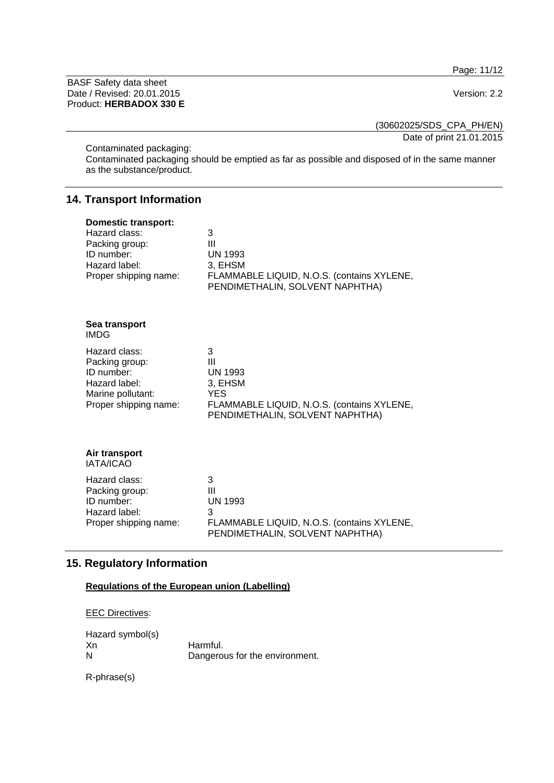Page: 11/12

BASF Safety data sheet Date / Revised: 20.01.2015 Version: 2.2 Product: **HERBADOX 330 E**

(30602025/SDS\_CPA\_PH/EN)

Date of print 21.01.2015

Contaminated packaging:

Contaminated packaging should be emptied as far as possible and disposed of in the same manner as the substance/product.

# **14. Transport Information**

| <b>Domestic transport:</b><br>Hazard class:<br>Packing group:<br>ID number:<br>Hazard label:<br>Proper shipping name: | 3<br>Ш<br><b>UN 1993</b><br>3, EHSM<br>FLAMMABLE LIQUID, N.O.S. (contains XYLENE,<br>PENDIMETHALIN, SOLVENT NAPHTHA)               |
|-----------------------------------------------------------------------------------------------------------------------|------------------------------------------------------------------------------------------------------------------------------------|
| Sea transport<br><b>IMDG</b>                                                                                          |                                                                                                                                    |
| Hazard class:<br>Packing group:<br>ID number:<br>Hazard label:<br>Marine pollutant:<br>Proper shipping name:          | 3<br>Ш<br><b>UN 1993</b><br>3, EHSM<br><b>YES</b><br>FLAMMABLE LIQUID, N.O.S. (contains XYLENE,<br>PENDIMETHALIN, SOLVENT NAPHTHA) |
| Air transport<br><b>IATA/ICAO</b>                                                                                     |                                                                                                                                    |
| Hazard class:<br>Packing group:<br>ID number:<br>Hazard label:<br>Proper shipping name:                               | 3<br>Ш<br><b>UN 1993</b><br>3<br>FLAMMABLE LIQUID, N.O.S. (contains XYLENE,<br>PENDIMETHALIN, SOLVENT NAPHTHA)                     |

# **15. Regulatory Information**

# **Regulations of the European union (Labelling)**

| <b>EEC Directives:</b> |
|------------------------|
|                        |

Hazard symbol(s)<br>Xn Xn Harmful.<br>N Dangerou

Dangerous for the environment.

R-phrase(s)